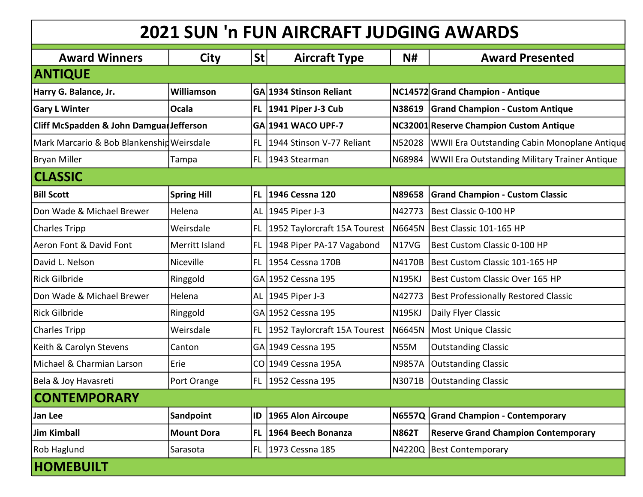| <b>2021 SUN 'n FUN AIRCRAFT JUDGING AWARDS</b>      |                    |               |                              |               |                                                        |  |  |  |
|-----------------------------------------------------|--------------------|---------------|------------------------------|---------------|--------------------------------------------------------|--|--|--|
| <b>Award Winners</b>                                | City               | $\mathsf{St}$ | <b>Aircraft Type</b>         | N#            | <b>Award Presented</b>                                 |  |  |  |
| <b>ANTIQUE</b>                                      |                    |               |                              |               |                                                        |  |  |  |
| Harry G. Balance, Jr.                               | Williamson         |               | GA 1934 Stinson Reliant      |               | NC14572 Grand Champion - Antique                       |  |  |  |
| <b>Gary L Winter</b>                                | <b>Ocala</b>       | <b>FL</b>     | 1941 Piper J-3 Cub           | N38619        | <b>Grand Champion - Custom Antique</b>                 |  |  |  |
| <b>Cliff McSpadden &amp; John Damguar Jefferson</b> |                    |               | GA 1941 WACO UPF-7           |               | NC32001 Reserve Champion Custom Antique                |  |  |  |
| Mark Marcario & Bob Blankenshid Weirsdale           |                    | <b>FL</b>     | 1944 Stinson V-77 Reliant    |               | N52028   WWII Era Outstanding Cabin Monoplane Antique  |  |  |  |
| Bryan Miller                                        | Tampa              | FL.           | 1943 Stearman                |               | N68984   WWII Era Outstanding Military Trainer Antique |  |  |  |
| <b>CLASSIC</b>                                      |                    |               |                              |               |                                                        |  |  |  |
| <b>Bill Scott</b>                                   | <b>Spring Hill</b> | <b>FL</b>     | 1946 Cessna 120              | N89658        | <b>Grand Champion - Custom Classic</b>                 |  |  |  |
| Don Wade & Michael Brewer                           | Helena             |               | AL 1945 Piper J-3            | N42773        | Best Classic 0-100 HP                                  |  |  |  |
| <b>Charles Tripp</b>                                | Weirsdale          | <b>FL</b>     | 1952 Taylorcraft 15A Tourest |               | N6645N Best Classic 101-165 HP                         |  |  |  |
| Aeron Font & David Font                             | Merritt Island     | <b>FL</b>     | 1948 Piper PA-17 Vagabond    | <b>N17VG</b>  | Best Custom Classic 0-100 HP                           |  |  |  |
| David L. Nelson                                     | Niceville          | FL.           | 1954 Cessna 170B             | N4170B        | Best Custom Classic 101-165 HP                         |  |  |  |
| <b>Rick Gilbride</b>                                | Ringgold           |               | GA 1952 Cessna 195           | <b>N195KJ</b> | Best Custom Classic Over 165 HP                        |  |  |  |
| Don Wade & Michael Brewer                           | Helena             |               | AL   1945 Piper J-3          | N42773        | Best Professionally Restored Classic                   |  |  |  |
| <b>Rick Gilbride</b>                                | Ringgold           |               | GA 1952 Cessna 195           | <b>N195KJ</b> | Daily Flyer Classic                                    |  |  |  |
| <b>Charles Tripp</b>                                | Weirsdale          | <b>FL</b>     | 1952 Taylorcraft 15A Tourest |               | N6645N   Most Unique Classic                           |  |  |  |
| Keith & Carolyn Stevens                             | Canton             |               | GA 1949 Cessna 195           | <b>N55M</b>   | <b>Outstanding Classic</b>                             |  |  |  |
| Michael & Charmian Larson                           | Erie               |               | CO 1949 Cessna 195A          |               | N9857A   Outstanding Classic                           |  |  |  |
| Bela & Joy Havasreti                                | Port Orange        |               | FL   1952 Cessna 195         |               | N3071B   Outstanding Classic                           |  |  |  |
| <b>CONTEMPORARY</b>                                 |                    |               |                              |               |                                                        |  |  |  |
| Jan Lee                                             | Sandpoint          | ID            | 1965 Alon Aircoupe           | <b>N6557Q</b> | <b>Grand Champion - Contemporary</b>                   |  |  |  |
| Jim Kimball                                         | <b>Mount Dora</b>  | <b>FL</b>     | 1964 Beech Bonanza           | <b>N862T</b>  | <b>Reserve Grand Champion Contemporary</b>             |  |  |  |
| <b>Rob Haglund</b>                                  | Sarasota           |               | FL   1973 Cessna 185         |               | N4220Q Best Contemporary                               |  |  |  |
| <b>HOMEBUILT</b>                                    |                    |               |                              |               |                                                        |  |  |  |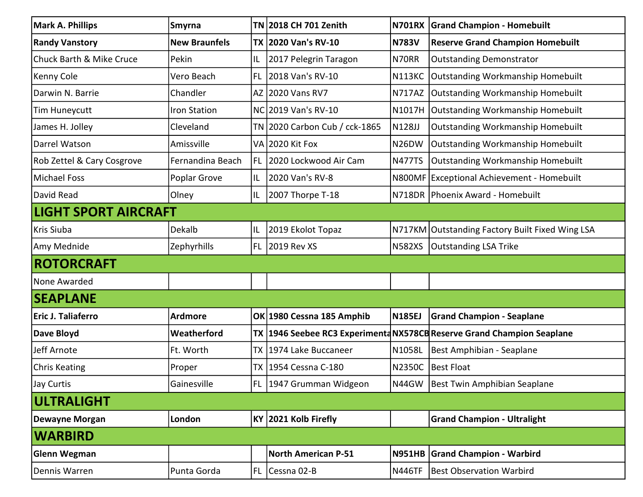| <b>Mark A. Phillips</b>             | Smyrna               |     | TN 2018 CH 701 Zenith         | <b>N701RX</b>      | <b>Grand Champion - Homebuilt</b>                                      |  |  |
|-------------------------------------|----------------------|-----|-------------------------------|--------------------|------------------------------------------------------------------------|--|--|
| <b>Randy Vanstory</b>               | <b>New Braunfels</b> |     | TX 2020 Van's RV-10           | <b>N783V</b>       | <b>Reserve Grand Champion Homebuilt</b>                                |  |  |
| <b>Chuck Barth &amp; Mike Cruce</b> | Pekin                | IL  | 2017 Pelegrin Taragon         | N70RR              | <b>Outstanding Demonstrator</b>                                        |  |  |
| <b>Kenny Cole</b>                   | Vero Beach           | FL. | 2018 Van's RV-10              | <b>N113KC</b>      | Outstanding Workmanship Homebuilt                                      |  |  |
| Darwin N. Barrie                    | Chandler             |     | AZ 2020 Vans RV7              | <b>N717AZ</b>      | Outstanding Workmanship Homebuilt                                      |  |  |
| <b>Tim Huneycutt</b>                | <b>Iron Station</b>  |     | NC 2019 Van's RV-10           | N1017H             | Outstanding Workmanship Homebuilt                                      |  |  |
| James H. Jolley                     | Cleveland            |     | TN 2020 Carbon Cub / cck-1865 | N128JJ             | Outstanding Workmanship Homebuilt                                      |  |  |
| Darrel Watson                       | Amissville           |     | VA 2020 Kit Fox               | N <sub>26</sub> DW | Outstanding Workmanship Homebuilt                                      |  |  |
| Rob Zettel & Cary Cosgrove          | Fernandina Beach     |     | FL 2020 Lockwood Air Cam      | <b>N477TS</b>      | Outstanding Workmanship Homebuilt                                      |  |  |
| <b>Michael Foss</b>                 | Poplar Grove         | IL  | 2020 Van's RV-8               |                    | N800MF Exceptional Achievement - Homebuilt                             |  |  |
| David Read                          | Olney                | IL  | 2007 Thorpe T-18              |                    | N718DR   Phoenix Award - Homebuilt                                     |  |  |
| <b>LIGHT SPORT AIRCRAFT</b>         |                      |     |                               |                    |                                                                        |  |  |
| Kris Siuba                          | Dekalb               | IL  | 2019 Ekolot Topaz             |                    | N717KM Outstanding Factory Built Fixed Wing LSA                        |  |  |
| Amy Mednide                         | Zephyrhills          |     | FL 2019 Rev XS                | <b>N582XS</b>      | <b>Outstanding LSA Trike</b>                                           |  |  |
| <b>ROTORCRAFT</b>                   |                      |     |                               |                    |                                                                        |  |  |
| None Awarded                        |                      |     |                               |                    |                                                                        |  |  |
| <b>SEAPLANE</b>                     |                      |     |                               |                    |                                                                        |  |  |
| <b>Eric J. Taliaferro</b>           | <b>Ardmore</b>       |     | OK 1980 Cessna 185 Amphib     | <b>N185EJ</b>      | <b>Grand Champion - Seaplane</b>                                       |  |  |
| Dave Bloyd                          | Weatherford          |     |                               |                    | TX 1946 Seebee RC3 Experimentd NX578CB Reserve Grand Champion Seaplane |  |  |
| Jeff Arnote                         | Ft. Worth            | ТX  | 1974 Lake Buccaneer           | N1058L             | Best Amphibian - Seaplane                                              |  |  |
| <b>Chris Keating</b>                | Proper               | ТX  | 1954 Cessna C-180             | <b>N2350C</b>      | <b>Best Float</b>                                                      |  |  |
| Jay Curtis                          | Gainesville          |     | FL 1947 Grumman Widgeon       | N44GW              | Best Twin Amphibian Seaplane                                           |  |  |
| <b>ULTRALIGHT</b>                   |                      |     |                               |                    |                                                                        |  |  |
| Dewayne Morgan                      | London               |     | KY 2021 Kolb Firefly          |                    | <b>Grand Champion - Ultralight</b>                                     |  |  |
| <b>WARBIRD</b>                      |                      |     |                               |                    |                                                                        |  |  |
| <b>Glenn Wegman</b>                 |                      |     | <b>North American P-51</b>    | <b>N951HB</b>      | <b>Grand Champion - Warbird</b>                                        |  |  |
| Dennis Warren                       | Punta Gorda          | FL. | Cessna 02-B                   | <b>N446TF</b>      | <b>Best Observation Warbird</b>                                        |  |  |